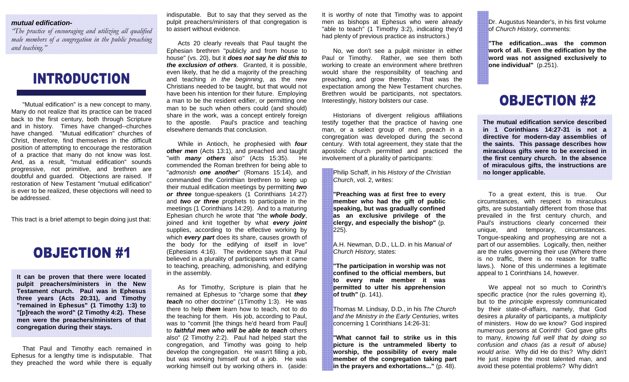#### **mutual edification-**

 *"The practice of encouraging and utilizing all qualified male members of a congregation in the public preaching and teaching."*

### **INTRODUCTION**

 "Mutual edification" is a new concept to many. Many do not realize that its practice can be traced back to the first century, both through Scripture and in history. Times have changed--churches have changed. "Mutual edification" churches of Christ, therefore, find themselves in the difficult position of attempting to encourage the restoration of a practice that many do not know was lost. And, as a result, "mutual edification" sounds progressive, not primitive, and brethren are doubtful and guarded. Objections are raised. If restoration of New Testament "mutual edification" is ever to be realized, these objections will need to be addressed.

This tract is a brief attempt to begin doing just that:

#### **OBJECTION #1**

**It can be proven that there were located pulpit preachers/ministers in the New Testament church. Paul was in Ephesus three years (Acts 20:31), and Timothy "remained in Ephesus" (1 Timothy 1:3) to "[p]reach the word" (2 Timothy 4:2). These men were the preachers/ministers of that congregation during their stays.** 

That Paul and Timothy each remained in Ephesus for a lengthy time is indisputable. That they preached the word while there is equally

indisputable. But to say that they served as the pulpit preachers/ministers of that congregation is to assert without evidence.

Acts 20 clearly reveals that Paul taught the Ephesian brethren "publicly and from house to house" (vs. 20), but it **does not say he did this to the exclusion of others**. Granted, it is possible, even likely, that he did a majority of the preaching and teaching in the beginning, as the new Christians needed to be taught, but that would not have been his intention for their future. Employing a man to be the resident edifier, or permitting one man to be such when others could (and should) share in the work, was a concept entirely foreign to the apostle. Paul's practice and teaching elsewhere demands that conclusion.

While in Antioch, he prophesied with **four other men** (Acts 13:1), and preached and taught "with **many others** also" (Acts 15:35). He commended the Roman brethren for being able to "admonish **one another**" (Romans 15:14), and commanded the Corinthian brethren to keep up their mutual edification meetings by permitting **two or three** tongue-speakers (1 Corinthians 14:27) and **two or three** prophets to participate in the meetings (1 Corinthians 14:29). And to a maturing Ephesian church he wrote that "the **whole body**, joined and knit together by what **every joint**  supplies, according to the effective working by which **every part** does its share, causes growth of the body for the edifying of itself in love" (Ephesians 4:16). The evidence says that Paul believed in a plurality of participants when it came to teaching, preaching, admonishing, and edifying in the assembly.

As for Timothy, Scripture is plain that he remained at Ephesus to "charge some that **they teach** no other doctrine" (1Timothy 1:3). He was there to help **them** learn how to teach, not to do the teaching for them. His job, according to Paul, was to "commit [the things he'd heard from Paul] to **faithful men who will be able to teach** others also" (2 Timothy 2:2). Paul had helped start the congregation, and Timothy was going to help develop the congregation. He wasn't filling a job, but was working himself out of a job. He was working himself out by working others in. (aside: It is worthy of note that Timothy was to appoint men as bishops at Ephesus who were already "able to teach" (1 Timothy 3:2), indicating they'd had plenty of previous practice as instructors.)

No, we don't see a pulpit minister in either Paul or Timothy. Rather, we see them both working to create an environment where brethren would share the responsibility of teaching and preaching, and grow thereby. That was the expectation among the New Testament churches. Brethren would be participants, not spectators. Interestingly, history bolsters our case.

Historians of divergent religious affiliations testify together that the practice of having one man, or a select group of men, preach in a congregation was developed during the second century. With total agreement, they state that the apostolic church permitted and practiced the involvement of a plurality of participants:

Philip Schaff, in his History of the Christian Church, vol. 2, writes:

**"Preaching was at first free to every member who had the gift of public speaking, but was gradually confined as an exclusive privilege of the clergy, and especially the bishop"** (p. 225).

A.H. Newman, D.D., LL.D. in his Manual of Church History, states:

**"The participation in worship was not confined to the official members, but to every male member it was permitted to utter his apprehension of truth"** (p. 141).

Thomas M. Lindsay, D.D., in his The Church and the Ministry in the Early Centuries, writes concerning 1 Corinthians 14:26-31:

**"What cannot fail to strike us in this picture is the untrammeled liberty to worship, the possibility of every male member of the congregation taking part in the prayers and exhortations..."** (p. 48).

Dr. Augustus Neander's, in his first volume of Church History, comments:

**"The edification...was the common work of all. Even the edification by the word was not assigned exclusively to one individual"** (p.251).

### **OBJECTION #2**

**The mutual edification service described in 1 Corinthians 14:27-31 is not a directive for modern-day assemblies of the saints. This passage describes how miraculous gifts were to be exercised in the first century church. In the absence of miraculous gifts, the instructions are no longer applicable.** 

To a great extent, this is true. Our circumstances, with respect to miraculous gifts, are substantially different from those that prevailed in the first century church, and Paul's instructions clearly concerned their unique, and temporary, circumstances. Tongue-speaking and prophesying are not a part of our assemblies. Logically, then, neither are the rules governing their use (Where there is no traffic, there is no reason for traffic laws.). None of this undermines a legitimate appeal to 1 Corinthians 14, however.

We appeal not so much to Corinth's specific practice (nor the rules governing it), but to the *principle* expressly communicated by their state-of-affairs, namely, that God desires a *plurality* of participants, a *multiplicity*  of ministers. How do we know? God inspired numerous persons at Corinth! God gave gifts to many, knowing full well that by doing so confusion and chaos (as a result of abuse) would arise. Why did He do this? Why didn't He just inspire the most talented man, and avoid these potential problems? Why didn't